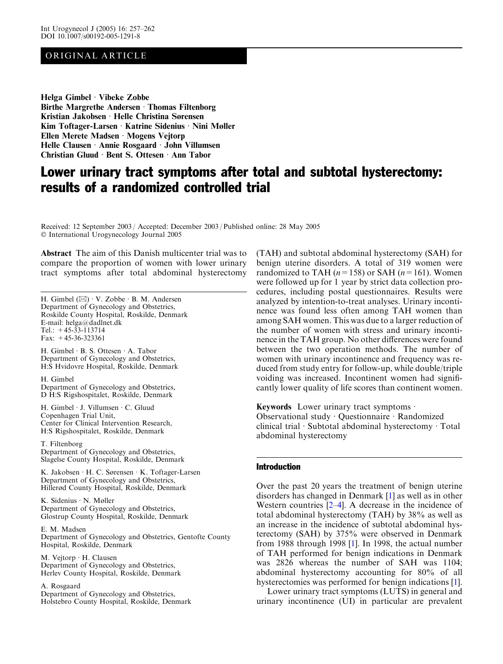## ORIGINAL ARTICLE

Helga Gimbel · Vibeke Zobbe Birthe Margrethe Andersen  $\cdot$  Thomas Filtenborg Kristian Jakobsen · Helle Christina Sørensen Kim Toftager-Larsen · Katrine Sidenius · Nini Møller Ellen Merete Madsen · Mogens Vejtorp Helle Clausen  $\cdot$  Annie Rosgaard  $\cdot$  John Villumsen Christian Gluud Bent S. Ottesen  $\cdot$  Ann Tabor

# Lower urinary tract symptoms after total and subtotal hysterectomy: results of a randomized controlled trial

Received: 12 September 2003 / Accepted: December 2003 / Published online: 28 May 2005 International Urogynecology Journal 2005

Abstract The aim of this Danish multicenter trial was to compare the proportion of women with lower urinary tract symptoms after total abdominal hysterectomy

H. Gimbel  $(\boxtimes) \cdot V$ . Zobbe  $\cdot$  B. M. Andersen Department of Gynecology and Obstetrics, Roskilde County Hospital, Roskilde, Denmark E-mail: helga@dadlnet.dk Tel.:  $+45-33-113714$ Fax: +45-36-323361

H. Gimbel · B. S. Ottesen · A. Tabor Department of Gynecology and Obstetrics, H:S Hvidovre Hospital, Roskilde, Denmark

H. Gimbel Department of Gynecology and Obstetrics, D H:S Rigshospitalet, Roskilde, Denmark

H. Gimbel · J. Villumsen · C. Gluud Copenhagen Trial Unit, Center for Clinical Intervention Research, H:S Rigshospitalet, Roskilde, Denmark

T. Filtenborg Department of Gynecology and Obstetrics, Slagelse County Hospital, Roskilde, Denmark

K. Jakobsen · H. C. Sørensen · K. Toftager-Larsen Department of Gynecology and Obstetrics, Hillerød County Hospital, Roskilde, Denmark

K. Sidenius · N. Møller Department of Gynecology and Obstetrics, Glostrup County Hospital, Roskilde, Denmark

E. M. Madsen Department of Gynecology and Obstetrics, Gentofte County Hospital, Roskilde, Denmark

M. Vejtorp · H. Clausen Department of Gynecology and Obstetrics, Herlev County Hospital, Roskilde, Denmark

A. Rosgaard Department of Gynecology and Obstetrics, Holstebro County Hospital, Roskilde, Denmark (TAH) and subtotal abdominal hysterectomy (SAH) for benign uterine disorders. A total of 319 women were randomized to TAH  $(n=158)$  or SAH  $(n=161)$ . Women were followed up for 1 year by strict data collection procedures, including postal questionnaires. Results were analyzed by intention-to-treat analyses. Urinary incontinence was found less often among TAH women than among SAH women. This was due to a larger reduction of the number of women with stress and urinary incontinence in the TAH group. No other differences were found between the two operation methods. The number of women with urinary incontinence and frequency was reduced from study entry for follow-up, while double/triple voiding was increased. Incontinent women had significantly lower quality of life scores than continent women.

Keywords Lower urinary tract symptoms  $\cdot$ Observational study · Questionnaire · Randomized clinical trial  $\cdot$  Subtotal abdominal hysterectomy  $\cdot$  Total abdominal hysterectomy

#### Introduction

Over the past 20 years the treatment of benign uterine disorders has changed in Denmark [\[1](#page-4-0)] as well as in other Western countries  $[2-4]$ . A decrease in the incidence of total abdominal hysterectomy (TAH) by 38% as well as an increase in the incidence of subtotal abdominal hysterectomy (SAH) by 375% were observed in Denmark from 1988 through 1998 [\[1](#page-4-0)]. In 1998, the actual number of TAH performed for benign indications in Denmark was 2826 whereas the number of SAH was 1104; abdominal hysterectomy accounting for 80% of all hysterectomies was performed for benign indications [[1\]](#page-4-0).

Lower urinary tract symptoms (LUTS) in general and urinary incontinence (UI) in particular are prevalent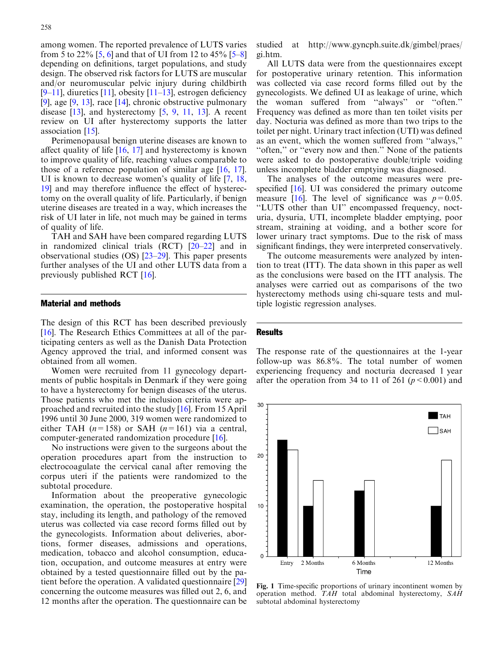<span id="page-1-0"></span>among women. The reported prevalence of LUTS varies from 5 to 22% [\[5](#page-4-0), [6](#page-5-0)] and that of UI from 12 to 45% [5[–8](#page-5-0)] depending on definitions, target populations, and study design. The observed risk factors for LUTS are muscular and/or neuromuscular pelvic injury during childbirth [[9–11](#page-5-0)], diuretics [[11](#page-5-0)], obesity [[11–13](#page-5-0)], estrogen deficiency [[9](#page-5-0)], age [\[9](#page-5-0), [13](#page-5-0)], race [[14\]](#page-5-0), chronic obstructive pulmonary disease  $[13]$  $[13]$ , and hysterectomy  $[5, 9, 11, 13]$  $[5, 9, 11, 13]$  $[5, 9, 11, 13]$  $[5, 9, 11, 13]$  $[5, 9, 11, 13]$  $[5, 9, 11, 13]$  $[5, 9, 11, 13]$  $[5, 9, 11, 13]$ . A recent review on UI after hysterectomy supports the latter association [\[15\]](#page-5-0).

Perimenopausal benign uterine diseases are known to affect quality of life [[16,](#page-5-0) [17](#page-5-0)] and hysterectomy is known to improve quality of life, reaching values comparable to those of a reference population of similar age [\[16,](#page-5-0) [17](#page-5-0)]. UI is known to decrease women's quality of life [[7,](#page-5-0) [18](#page-5-0), [19](#page-5-0)] and may therefore influence the effect of hysterectomy on the overall quality of life. Particularly, if benign uterine diseases are treated in a way, which increases the risk of UI later in life, not much may be gained in terms of quality of life.

TAH and SAH have been compared regarding LUTS in randomized clinical trials (RCT) [[20–22\]](#page-5-0) and in observational studies (OS) [[23–29](#page-5-0)]. This paper presents further analyses of the UI and other LUTS data from a previously published RCT [[16\]](#page-5-0).

### Material and methods

The design of this RCT has been described previously [[16](#page-5-0)]. The Research Ethics Committees at all of the participating centers as well as the Danish Data Protection Agency approved the trial, and informed consent was obtained from all women.

Women were recruited from 11 gynecology departments of public hospitals in Denmark if they were going to have a hysterectomy for benign diseases of the uterus. Those patients who met the inclusion criteria were approached and recruited into the study [[16\]](#page-5-0). From 15 April 1996 until 30 June 2000, 319 women were randomized to either TAH ( $n=158$ ) or SAH ( $n=161$ ) via a central, computer-generated randomization procedure [[16](#page-5-0)].

No instructions were given to the surgeons about the operation procedures apart from the instruction to electrocoagulate the cervical canal after removing the corpus uteri if the patients were randomized to the subtotal procedure.

Information about the preoperative gynecologic examination, the operation, the postoperative hospital stay, including its length, and pathology of the removed uterus was collected via case record forms filled out by the gynecologists. Information about deliveries, abortions, former diseases, admissions and operations, medication, tobacco and alcohol consumption, education, occupation, and outcome measures at entry were obtained by a tested questionnaire filled out by the patient before the operation. A validated questionnaire [\[29](#page-5-0)] concerning the outcome measures was filled out 2, 6, and 12 months after the operation. The questionnaire can be studied at http://www.gyncph.suite.dk/gimbel/praes/ gi.htm.

All LUTS data were from the questionnaires except for postoperative urinary retention. This information was collected via case record forms filled out by the gynecologists. We defined UI as leakage of urine, which the woman suffered from ''always'' or ''often.'' Frequency was defined as more than ten toilet visits per day. Nocturia was defined as more than two trips to the toilet per night. Urinary tract infection (UTI) was defined as an event, which the women suffered from ''always,'' "often," or "every now and then." None of the patients were asked to do postoperative double/triple voiding unless incomplete bladder emptying was diagnosed.

The analyses of the outcome measures were prespecified [[16\]](#page-5-0). UI was considered the primary outcome measure [[16](#page-5-0)]. The level of significance was  $p=0.05$ . ''LUTS other than UI'' encompassed frequency, nocturia, dysuria, UTI, incomplete bladder emptying, poor stream, straining at voiding, and a bother score for lower urinary tract symptoms. Due to the risk of mass significant findings, they were interpreted conservatively.

The outcome measurements were analyzed by intention to treat (ITT). The data shown in this paper as well as the conclusions were based on the ITT analysis. The analyses were carried out as comparisons of the two hysterectomy methods using chi-square tests and multiple logistic regression analyses.

#### Results

The response rate of the questionnaires at the 1-year follow-up was 86.8%. The total number of women experiencing frequency and nocturia decreased 1 year after the operation from 34 to 11 of 261 ( $p < 0.001$ ) and



Fig. 1 Time-specific proportions of urinary incontinent women by operation method. TAH total abdominal hysterectomy, SAH subtotal abdominal hysterectomy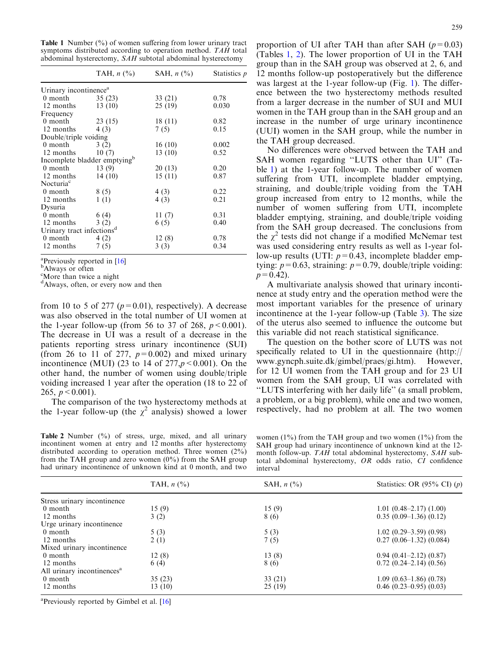Table 1 Number (%) of women suffering from lower urinary tract symptoms distributed according to operation method. TAH total abdominal hysterectomy, SAH subtotal abdominal hysterectomy

|                                       | TAH, $n$ $(\%)$                          | SAH, $n$ $\left(\frac{9}{0}\right)$ | Statistics p |
|---------------------------------------|------------------------------------------|-------------------------------------|--------------|
| Urinary incontinence <sup>a</sup>     |                                          |                                     |              |
| 0 month                               | 35 (23)                                  | 33 (21)                             | 0.78         |
| 12 months                             | 13 (10)                                  | 25 (19)                             | 0.030        |
| Frequency                             |                                          |                                     |              |
| $0$ month                             | 23(15)                                   | 18(11)                              | 0.82         |
| 12 months                             | 4(3)                                     | 7(5)                                | 0.15         |
| Double/triple voiding                 |                                          |                                     |              |
| 0 month                               | 3(2)                                     | 16(10)                              | 0.002        |
| 12 months                             | 10(7)                                    | 13(10)                              | 0.52         |
|                                       | Incomplete bladder emptying <sup>b</sup> |                                     |              |
| $0$ month                             | 13(9)                                    | 20(13)                              | 0.20         |
| 12 months                             | 14 (10)                                  | 15(11)                              | 0.87         |
| Nocturia <sup>c</sup>                 |                                          |                                     |              |
| 0 month                               | 8(5)                                     | 4(3)                                | 0.22         |
| 12 months                             | 1(1)                                     | 4 (3)                               | 0.21         |
| Dysuria                               |                                          |                                     |              |
| $0$ month                             | 6 (4)                                    | 11 $(7)$                            | 0.31         |
| 12 months                             | 3(2)                                     | 6 (5)                               | 0.40         |
| Urinary tract infections <sup>d</sup> |                                          |                                     |              |
| $0$ month                             | 4(2)                                     | 12(8)                               | 0.78         |
| 12 months                             | 7(5)                                     | 3(3)                                | 0.34         |

<sup>a</sup>Previously reported in  $[16]$ <sup>b</sup>Always or often

Always or often

c More than twice a night

<sup>d</sup>Always, often, or every now and then

from 10 to 5 of 277 ( $p=0.01$ ), respectively). A decrease was also observed in the total number of UI women at the 1-year follow-up (from 56 to 37 of 268,  $p < 0.001$ ). The decrease in UI was a result of a decrease in the patients reporting stress urinary incontinence (SUI) (from 26 to 11 of 277,  $p=0.002$ ) and mixed urinary incontinence (MUI) (23 to 14 of  $277, p < 0.001$ ). On the other hand, the number of women using double/triple voiding increased 1 year after the operation (18 to 22 of 265,  $p < 0.001$ ).

The comparison of the two hysterectomy methods at the 1-year follow-up (the  $\chi^2$  analysis) showed a lower

Table 2 Number (%) of stress, urge, mixed, and all urinary incontinent women at entry and 12 months after hysterectomy distributed according to operation method. Three women (2%) from the TAH group and zero women  $(0\%)$  from the SAH group had urinary incontinence of unknown kind at 0 month, and two

proportion of UI after TAH than after SAH ( $p=0.03$ ) (Tables 1, 2). The lower proportion of UI in the TAH group than in the SAH group was observed at 2, 6, and 12 months follow-up postoperatively but the difference [was largest at the 1-year follow-up \(Fig.](#page-1-0) 1). The differ[ence between the two hysterectomy methods resulted](#page-1-0) [from a larger decrease in the number of SUI and MUI](#page-1-0) [women in the TAH group than in the SAH group and an](#page-1-0) [increase in the number of urge urinary incontinence](#page-1-0) [\(UUI\) women in the SAH group, while the number in](#page-1-0) [the TAH group decreased.](#page-1-0)

No differences were observed between the TAH and SAH women regarding "LUTS other than UI" (Table 1) at the 1-year follow-up. The number of women suffering from UTI, incomplete bladder emptying, straining, and double/triple voiding from the TAH group increased from entry to 12 months, while the number of women suffering from UTI, incomplete bladder emptying, straining, and double/triple voiding from the SAH group decreased. The conclusions from the  $\chi^2$  tests did not change if a modified McNemar test was used considering entry results as well as 1-year follow-up results (UTI:  $p=0.43$ , incomplete bladder emptying:  $p=0.63$ , straining:  $p=0.79$ , double/triple voiding:  $p=0.42$ ).

A multivariate analysis showed that urinary incontinence at study entry and the operation method were the most important variables for the presence of urinary incontinence at the 1-year follow-up (Table [3\). The size](#page-3-0) [of the uterus also seemed to influence the outcome but](#page-3-0) [this variable did not reach statistical significance.](#page-3-0)

The question on the bother score of LUTS was not specifically related to UI in the questionnaire (http:// www.gyncph.suite.dk/gimbel/praes/gi.htm). However, for 12 UI women from the TAH group and for 23 UI women from the SAH group, UI was correlated with ''LUTS interfering with her daily life'' (a small problem, a problem, or a big problem), while one and two women, respectively, had no problem at all. The two women

women  $(1\%)$  from the TAH group and two women  $(1\%)$  from the SAH group had urinary incontinence of unknown kind at the 12 month follow-up. TAH total abdominal hysterectomy, SAH subtotal abdominal hysterectomy, OR odds ratio, CI confidence interval

|                                        | TAH, $n$ $\left(\frac{9}{0}\right)$ | SAH, $n$ $\left(\frac{9}{0}\right)$ | Statistics: OR $(95\% \text{ CI})$ (p) |  |
|----------------------------------------|-------------------------------------|-------------------------------------|----------------------------------------|--|
|                                        |                                     |                                     |                                        |  |
| Stress urinary incontinence            |                                     |                                     |                                        |  |
| 0 month                                | 15(9)                               | 15(9)                               | $1.01(0.48-2.17)(1.00)$                |  |
| 12 months                              | 3(2)                                | 8 (6)                               | $0.35(0.09-1.36)(0.12)$                |  |
| Urge urinary incontinence              |                                     |                                     |                                        |  |
| $0$ month                              | 5(3)                                | 5(3)                                | $1.02(0.29-3.59)(0.98)$                |  |
| 12 months                              | 2(1)                                | 7(5)                                | $0.27(0.06-1.32)(0.084)$               |  |
| Mixed urinary incontinence             |                                     |                                     |                                        |  |
| 0 month                                | 12(8)                               | 13(8)                               | $0.94(0.41-2.12)(0.87)$                |  |
| 12 months                              | 6(4)                                | 8 (6)                               | $0.72(0.24-2.14)(0.56)$                |  |
| All urinary incontinences <sup>a</sup> |                                     |                                     |                                        |  |
| $0$ month                              | 35(23)                              | 33(21)                              | $1.09(0.63-1.86)(0.78)$                |  |
| 12 months                              | 13(10)                              | 25(19)                              | $0.46$ (0.23–0.95) (0.03)              |  |

<sup>a</sup>Previously reported by Gimbel et al. [\[16\]](#page-5-0)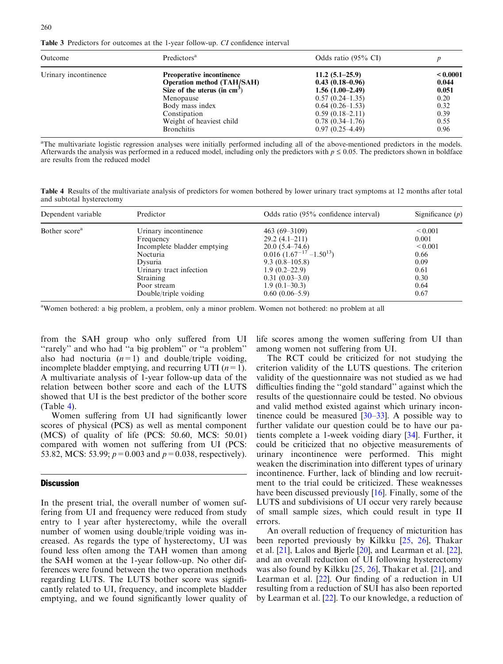<span id="page-3-0"></span>Table 3 Predictors for outcomes at the 1-year follow-up. CI confidence interval

| Outcome              | Predictors <sup>a</sup>           | Odds ratio (95% CI) |              |
|----------------------|-----------------------------------|---------------------|--------------|
| Urinary incontinence | <b>Preoperative incontinence</b>  | $11.2(5.1-25.9)$    | $\le 0.0001$ |
|                      | <b>Operation method (TAH/SAH)</b> | $0.43(0.18-0.96)$   | 0.044        |
|                      | Size of the uterus (in $cm3$ )    | $1.56(1.00-2.49)$   | 0.051        |
|                      | Menopause                         | $0.57(0.24-1.35)$   | 0.20         |
|                      | Body mass index                   | $0.64(0.26-1.53)$   | 0.32         |
|                      | Constipation                      | $0.59(0.18-2.11)$   | 0.39         |
|                      | Weight of heaviest child          | $0.78(0.34-1.76)$   | 0.55         |
|                      | <b>Bronchitis</b>                 | $0.97(0.25-4.49)$   | 0.96         |

<sup>a</sup>The multivariate logistic regression analyses were initially performed including all of the above-mentioned predictors in the models. Afterwards the analysis was performed in a reduced model, including only the predictors with  $p \le 0.05$ . The predictors shown in boldface are results from the reduced model

Table 4 Results of the multivariate analysis of predictors for women bothered by lower urinary tract symptoms at 12 months after total and subtotal hysterectomy

| Dependent variable        | Predictor                   | Odds ratio (95% confidence interval) | Significance $(p)$ |
|---------------------------|-----------------------------|--------------------------------------|--------------------|
| Bother score <sup>a</sup> | Urinary incontinence        | $463(69-3109)$                       | ${}_{0.001}$       |
|                           | Frequency                   | $29.2(4.1-211)$                      | 0.001              |
|                           | Incomplete bladder emptying | $20.0(5.4-74.6)$                     | ${}_{0.001}$       |
|                           | Nocturia                    | $0.016 (1.67^{-17} - 1.50^{13})$     | 0.66               |
|                           | Dysuria                     | $9.3(0.8-105.8)$                     | 0.09               |
|                           | Urinary tract infection     | $1.9(0.2-22.9)$                      | 0.61               |
|                           | Straining                   | $0.31(0.03-3.0)$                     | 0.30               |
|                           | Poor stream                 | $1.9(0.1-30.3)$                      | 0.64               |
|                           | Double/triple voiding       | $0.60(0.06-5.9)$                     | 0.67               |

aWomen bothered: a big problem, a problem, only a minor problem. Women not bothered: no problem at all

from the SAH group who only suffered from UI "rarely" and who had "a big problem" or "a problem" also had nocturia  $(n=1)$  and double/triple voiding, incomplete bladder emptying, and recurring UTI  $(n=1)$ . A multivariate analysis of 1-year follow-up data of the relation between bother score and each of the LUTS showed that UI is the best predictor of the bother score (Table 4).

Women suffering from UI had significantly lower scores of physical (PCS) as well as mental component (MCS) of quality of life (PCS: 50.60, MCS: 50.01) compared with women not suffering from UI (PCS: 53.82, MCS: 53.99;  $p = 0.003$  and  $p = 0.038$ , respectively).

## **Discussion**

In the present trial, the overall number of women suffering from UI and frequency were reduced from study entry to 1 year after hysterectomy, while the overall number of women using double/triple voiding was increased. As regards the type of hysterectomy, UI was found less often among the TAH women than among the SAH women at the 1-year follow-up. No other differences were found between the two operation methods regarding LUTS. The LUTS bother score was significantly related to UI, frequency, and incomplete bladder emptying, and we found significantly lower quality of life scores among the women suffering from UI than among women not suffering from UI.

The RCT could be criticized for not studying the criterion validity of the LUTS questions. The criterion validity of the questionnaire was not studied as we had difficulties finding the ''gold standard'' against which the results of the questionnaire could be tested. No obvious and valid method existed against which urinary incontinence could be measured [[30–33](#page-5-0)]. A possible way to further validate our question could be to have our patients complete a 1-week voiding diary [\[34\]](#page-5-0). Further, it could be criticized that no objective measurements of urinary incontinence were performed. This might weaken the discrimination into different types of urinary incontinence. Further, lack of blinding and low recruitment to the trial could be criticized. These weaknesses have been discussed previously [\[16](#page-5-0)]. Finally, some of the LUTS and subdivisions of UI occur very rarely because of small sample sizes, which could result in type II errors.

An overall reduction of frequency of micturition has been reported previously by Kilkku [[25,](#page-5-0) [26](#page-5-0)], Thakar et al. [\[21](#page-5-0)], Lalos and Bjerle [\[20](#page-5-0)], and Learman et al. [\[22\]](#page-5-0), and an overall reduction of UI following hysterectomy was also found by Kilkku [[25](#page-5-0), [26](#page-5-0)], Thakar et al. [[21\]](#page-5-0), and Learman et al. [[22](#page-5-0)]. Our finding of a reduction in UI resulting from a reduction of SUI has also been reported by Learman et al. [\[22\]](#page-5-0). To our knowledge, a reduction of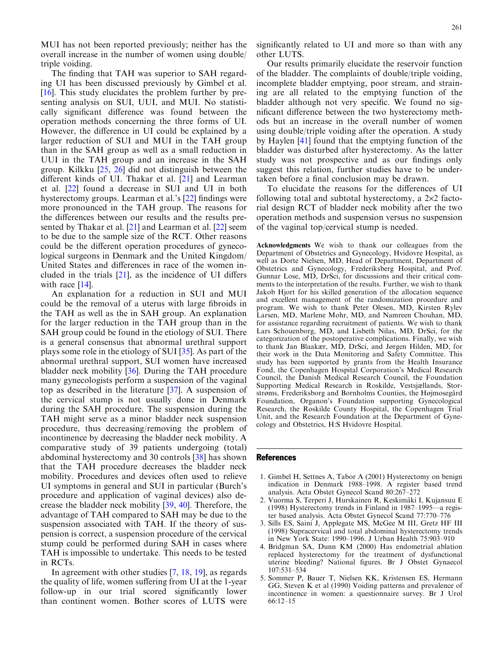<span id="page-4-0"></span>The finding that TAH was superior to SAH regarding UI has been discussed previously by Gimbel et al. [[16](#page-5-0)]. This study elucidates the problem further by presenting analysis on SUI, UUI, and MUI. No statistically significant difference was found between the operation methods concerning the three forms of UI. However, the difference in UI could be explained by a larger reduction of SUI and MUI in the TAH group than in the SAH group as well as a small reduction in UUI in the TAH group and an increase in the SAH group. Kilkku [\[25](#page-5-0), [26](#page-5-0)] did not distinguish between the different kinds of UI. Thakar et al. [[21](#page-5-0)] and Learman et al. [\[22](#page-5-0)] found a decrease in SUI and UI in both hysterectomy groups. Learman et al.'s [\[22](#page-5-0)] findings were more pronounced in the TAH group. The reasons for the differences between our results and the results presented by Thakar et al. [[21\]](#page-5-0) and Learman et al. [\[22](#page-5-0)] seem to be due to the sample size of the RCT. Other reasons could be the different operation procedures of gynecological surgeons in Denmark and the United Kingdom/ United States and differences in race of the women included in the trials [\[21](#page-5-0)], as the incidence of UI differs with race [[14](#page-5-0)].

An explanation for a reduction in SUI and MUI could be the removal of a uterus with large fibroids in the TAH as well as the in SAH group. An explanation for the larger reduction in the TAH group than in the SAH group could be found in the etiology of SUI. There is a general consensus that abnormal urethral support plays some role in the etiology of SUI [[35\]](#page-5-0). As part of the abnormal urethral support, SUI women have increased bladder neck mobility [[36](#page-5-0)]. During the TAH procedure many gynecologists perform a suspension of the vaginal top as described in the literature [[37\]](#page-5-0). A suspension of the cervical stump is not usually done in Denmark during the SAH procedure. The suspension during the TAH might serve as a minor bladder neck suspension procedure, thus decreasing/removing the problem of incontinence by decreasing the bladder neck mobility. A comparative study of 39 patients undergoing (total) abdominal hysterectomy and 30 controls [[38\]](#page-5-0) has shown that the TAH procedure decreases the bladder neck mobility. Procedures and devices often used to relieve UI symptoms in general and SUI in particular (Burch's procedure and application of vaginal devices) also decrease the bladder neck mobility [\[39,](#page-5-0) [40\]](#page-5-0). Therefore, the advantage of TAH compared to SAH may be due to the suspension associated with TAH. If the theory of suspension is correct, a suspension procedure of the cervical stump could be performed during SAH in cases where TAH is impossible to undertake. This needs to be tested in RCTs.

In agreement with other studies [\[7,](#page-5-0) [18](#page-5-0), [19\]](#page-5-0), as regards the quality of life, women suffering from UI at the 1-year follow-up in our trial scored significantly lower than continent women. Bother scores of LUTS were significantly related to UI and more so than with any other LUTS.

Our results primarily elucidate the reservoir function of the bladder. The complaints of double/triple voiding, incomplete bladder emptying, poor stream, and straining are all related to the emptying function of the bladder although not very specific. We found no significant difference between the two hysterectomy methods but an increase in the overall number of women using double/triple voiding after the operation. A study by Haylen [[41\]](#page-5-0) found that the emptying function of the bladder was disturbed after hysterectomy. As the latter study was not prospective and as our findings only suggest this relation, further studies have to be undertaken before a final conclusion may be drawn.

To elucidate the reasons for the differences of UI following total and subtotal hysterectomy, a  $2\times 2$  factorial design RCT of bladder neck mobility after the two operation methods and suspension versus no suspension of the vaginal top/cervical stump is needed.

Acknowledgments We wish to thank our colleagues from the Department of Obstetrics and Gynecology, Hvidovre Hospital, as well as Dorte Nielsen, MD, Head of Department, Department of Obstetrics and Gynecology, Frederiksberg Hospital, and Prof. Gunnar Lose, MD, DrSci, for discussions and their critical comments to the interpretation of the results. Further, we wish to thank Jakob Hjort for his skilled generation of the allocation sequence and excellent management of the randomization procedure and program. We wish to thank Peter Olesen, MD, Kirsten Rylev Larsen, MD, Marlene Mohr, MD, and Namreen Chouhan, MD, for assistance regarding recruitment of patients. We wish to thank Lars Schouenborg, MD, and Lisbeth Nilas, MD, DrSci, for the categorization of the postoperative complications. Finally, we wish to thank Jan Blaakær, MD, DrSci, and Jørgen Hilden, MD, for their work in the Data Monitoring and Safety Committee. This study has been supported by grants from the Health Insurance Fond, the Copenhagen Hospital Corporation's Medical Research Council, the Danish Medical Research Council, the Foundation Supporting Medical Research in Roskilde, Vestsjællands, Storstrøms, Frederiksborg and Bornholms Counties, the Højmosegård Foundation, Organon's Foundation supporting Gynecological Research, the Roskilde County Hospital, the Copenhagen Trial Unit, and the Research Foundation at the Department of Gynecology and Obstetrics, H:S Hvidovre Hospital.

#### References

- 1. Gimbel H, Settnes A, Tabor A (2001) Hysterectomy on benign indication in Denmark 1988–1998. A register based trend analysis. Acta Obstet Gynecol Scand 80:267–272
- 2. Vuorma S, Terperi J, Hurskainen R, Keskimäki I, Kujansuu E (1998) Hysterectomy trends in Finland in 1987–1995—a register based analysis. Acta Obstet Gynecol Scand 77:770–776
- 3. Sills ES, Saini J, Applegate MS, McGee M III, Gretz HF III (1998) Supracervical and total abdominal hysterectomy trends in New York State: 1990–1996. J Urban Health 75:903–910
- 4. Bridgman SA, Dunn KM (2000) Has endometrial ablation replaced hysterectomy for the treatment of dysfunctional uterine bleeding? National figures. Br J Obstet Gynaecol 107:531–534
- 5. Sommer P, Bauer T, Nielsen KK, Kristensen ES, Hermann GG, Steven K et al (1990) Voiding patterns and prevalence of incontinence in women: a questionnaire survey. Br J Urol 66:12–15